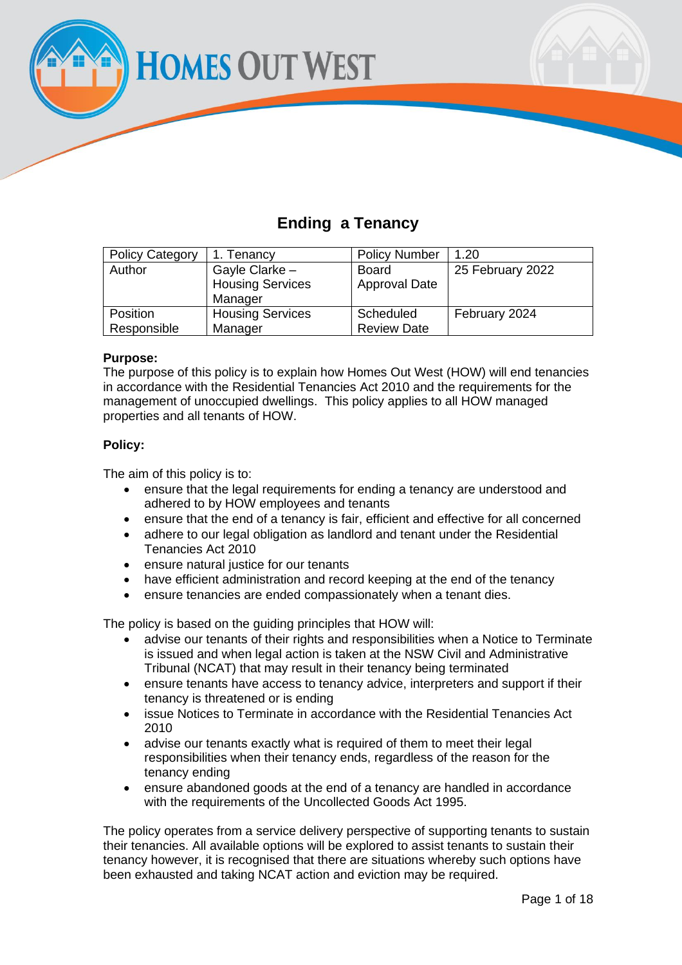**HOMES OUT WEST** 

# **Ending a Tenancy**

| <b>Policy Category</b> | 1. Tenancy              | <b>Policy Number</b> | 1.20             |
|------------------------|-------------------------|----------------------|------------------|
| Author                 | Gayle Clarke -          | <b>Board</b>         | 25 February 2022 |
|                        | <b>Housing Services</b> | <b>Approval Date</b> |                  |
|                        | Manager                 |                      |                  |
| Position               | <b>Housing Services</b> | Scheduled            | February 2024    |
| Responsible            | Manager                 | <b>Review Date</b>   |                  |

## **Purpose:**

The purpose of this policy is to explain how Homes Out West (HOW) will end tenancies in accordance with the Residential Tenancies Act 2010 and the requirements for the management of unoccupied dwellings. This policy applies to all HOW managed properties and all tenants of HOW.

## **Policy:**

The aim of this policy is to:

- ensure that the legal requirements for ending a tenancy are understood and adhered to by HOW employees and tenants
- ensure that the end of a tenancy is fair, efficient and effective for all concerned
- adhere to our legal obligation as landlord and tenant under the Residential Tenancies Act 2010
- ensure natural justice for our tenants
- have efficient administration and record keeping at the end of the tenancy
- ensure tenancies are ended compassionately when a tenant dies.

The policy is based on the guiding principles that HOW will:

- advise our tenants of their rights and responsibilities when a Notice to Terminate is issued and when legal action is taken at the NSW Civil and Administrative Tribunal (NCAT) that may result in their tenancy being terminated
- ensure tenants have access to tenancy advice, interpreters and support if their tenancy is threatened or is ending
- issue Notices to Terminate in accordance with the Residential Tenancies Act 2010
- advise our tenants exactly what is required of them to meet their legal responsibilities when their tenancy ends, regardless of the reason for the tenancy ending
- ensure abandoned goods at the end of a tenancy are handled in accordance with the requirements of the Uncollected Goods Act 1995.

The policy operates from a service delivery perspective of supporting tenants to sustain their tenancies. All available options will be explored to assist tenants to sustain their tenancy however, it is recognised that there are situations whereby such options have been exhausted and taking NCAT action and eviction may be required.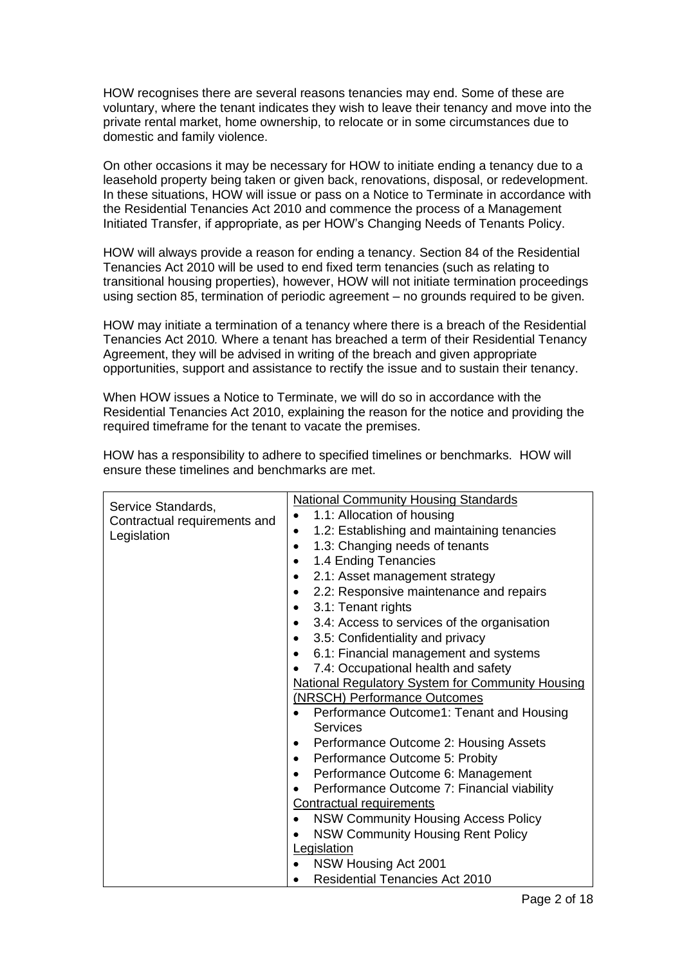HOW recognises there are several reasons tenancies may end. Some of these are voluntary, where the tenant indicates they wish to leave their tenancy and move into the private rental market, home ownership, to relocate or in some circumstances due to domestic and family violence.

On other occasions it may be necessary for HOW to initiate ending a tenancy due to a leasehold property being taken or given back, renovations, disposal, or redevelopment. In these situations, HOW will issue or pass on a Notice to Terminate in accordance with the Residential Tenancies Act 2010 and commence the process of a Management Initiated Transfer, if appropriate, as per HOW's Changing Needs of Tenants Policy.

HOW will always provide a reason for ending a tenancy. Section 84 of the Residential Tenancies Act 2010 will be used to end fixed term tenancies (such as relating to transitional housing properties), however, HOW will not initiate termination proceedings using section 85, termination of periodic agreement – no grounds required to be given.

HOW may initiate a termination of a tenancy where there is a breach of the Residential Tenancies Act 2010*.* Where a tenant has breached a term of their Residential Tenancy Agreement, they will be advised in writing of the breach and given appropriate opportunities, support and assistance to rectify the issue and to sustain their tenancy.

When HOW issues a Notice to Terminate, we will do so in accordance with the Residential Tenancies Act 2010, explaining the reason for the notice and providing the required timeframe for the tenant to vacate the premises.

| Service Standards,<br>Contractual requirements and<br>Legislation | <b>National Community Housing Standards</b>              |
|-------------------------------------------------------------------|----------------------------------------------------------|
|                                                                   | 1.1: Allocation of housing                               |
|                                                                   | 1.2: Establishing and maintaining tenancies              |
|                                                                   | 1.3: Changing needs of tenants<br>$\bullet$              |
|                                                                   | 1.4 Ending Tenancies                                     |
|                                                                   | 2.1: Asset management strategy<br>٠                      |
|                                                                   | 2.2: Responsive maintenance and repairs                  |
|                                                                   | 3.1: Tenant rights<br>٠                                  |
|                                                                   | 3.4: Access to services of the organisation<br>$\bullet$ |
|                                                                   | 3.5: Confidentiality and privacy                         |
|                                                                   | 6.1: Financial management and systems<br>٠               |
|                                                                   | 7.4: Occupational health and safety                      |
|                                                                   | <b>National Regulatory System for Community Housing</b>  |
|                                                                   | (NRSCH) Performance Outcomes                             |
|                                                                   | Performance Outcome1: Tenant and Housing                 |
|                                                                   | Services                                                 |
|                                                                   | Performance Outcome 2: Housing Assets<br>٠               |
|                                                                   | Performance Outcome 5: Probity<br>$\bullet$              |
|                                                                   | Performance Outcome 6: Management                        |
|                                                                   | Performance Outcome 7: Financial viability               |
|                                                                   | <b>Contractual requirements</b>                          |
|                                                                   | <b>NSW Community Housing Access Policy</b>               |
|                                                                   | <b>NSW Community Housing Rent Policy</b>                 |
|                                                                   | Legislation                                              |
|                                                                   | NSW Housing Act 2001                                     |
|                                                                   | <b>Residential Tenancies Act 2010</b>                    |

HOW has a responsibility to adhere to specified timelines or benchmarks. HOW will ensure these timelines and benchmarks are met.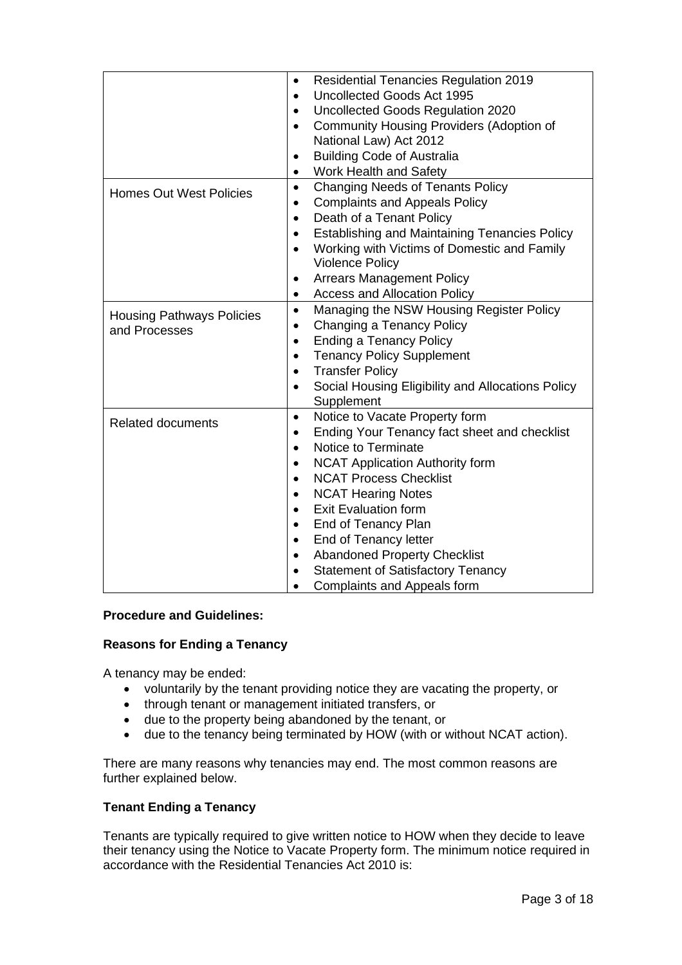|                                                   | <b>Residential Tenancies Regulation 2019</b><br>٠<br>Uncollected Goods Act 1995<br>$\bullet$<br>Uncollected Goods Regulation 2020<br>$\bullet$                                                                                                                                                                                                                                                                                                                                                                        |
|---------------------------------------------------|-----------------------------------------------------------------------------------------------------------------------------------------------------------------------------------------------------------------------------------------------------------------------------------------------------------------------------------------------------------------------------------------------------------------------------------------------------------------------------------------------------------------------|
|                                                   | <b>Community Housing Providers (Adoption of</b><br>$\bullet$<br>National Law) Act 2012                                                                                                                                                                                                                                                                                                                                                                                                                                |
|                                                   | <b>Building Code of Australia</b><br>٠<br>Work Health and Safety<br>$\bullet$                                                                                                                                                                                                                                                                                                                                                                                                                                         |
| <b>Homes Out West Policies</b>                    | Changing Needs of Tenants Policy<br>$\bullet$<br><b>Complaints and Appeals Policy</b><br>$\bullet$<br>Death of a Tenant Policy<br>$\bullet$<br><b>Establishing and Maintaining Tenancies Policy</b><br>$\bullet$<br>Working with Victims of Domestic and Family<br>$\bullet$<br><b>Violence Policy</b>                                                                                                                                                                                                                |
|                                                   | <b>Arrears Management Policy</b><br><b>Access and Allocation Policy</b><br>٠                                                                                                                                                                                                                                                                                                                                                                                                                                          |
| <b>Housing Pathways Policies</b><br>and Processes | Managing the NSW Housing Register Policy<br>$\bullet$<br>Changing a Tenancy Policy<br><b>Ending a Tenancy Policy</b><br>$\bullet$<br><b>Tenancy Policy Supplement</b><br>$\bullet$<br><b>Transfer Policy</b><br>$\bullet$<br>Social Housing Eligibility and Allocations Policy<br>$\bullet$<br>Supplement                                                                                                                                                                                                             |
| <b>Related documents</b>                          | Notice to Vacate Property form<br>$\bullet$<br>Ending Your Tenancy fact sheet and checklist<br>٠<br>Notice to Terminate<br>$\bullet$<br><b>NCAT Application Authority form</b><br><b>NCAT Process Checklist</b><br>$\bullet$<br><b>NCAT Hearing Notes</b><br>$\bullet$<br><b>Exit Evaluation form</b><br>$\bullet$<br>End of Tenancy Plan<br>$\bullet$<br>End of Tenancy letter<br><b>Abandoned Property Checklist</b><br>$\bullet$<br><b>Statement of Satisfactory Tenancy</b><br><b>Complaints and Appeals form</b> |

## **Procedure and Guidelines:**

## **Reasons for Ending a Tenancy**

A tenancy may be ended:

- voluntarily by the tenant providing notice they are vacating the property, or
- through tenant or management initiated transfers, or
- due to the property being abandoned by the tenant, or
- due to the tenancy being terminated by HOW (with or without NCAT action).

There are many reasons why tenancies may end. The most common reasons are further explained below.

## **Tenant Ending a Tenancy**

Tenants are typically required to give written notice to HOW when they decide to leave their tenancy using the Notice to Vacate Property form. The minimum notice required in accordance with the Residential Tenancies Act 2010 is: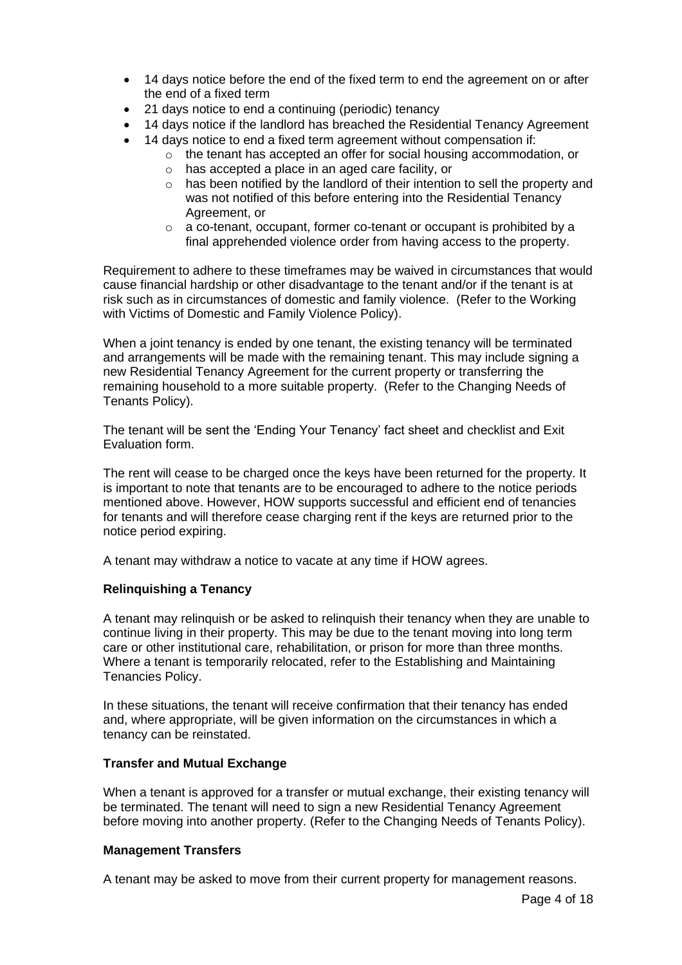- 14 days notice before the end of the fixed term to end the agreement on or after the end of a fixed term
- 21 days notice to end a continuing (periodic) tenancy
- 14 days notice if the landlord has breached the Residential Tenancy Agreement
- 14 days notice to end a fixed term agreement without compensation if:
	- o the tenant has accepted an offer for social housing accommodation, or
	- o has accepted a place in an aged care facility, or
	- $\circ$  has been notified by the landlord of their intention to sell the property and was not notified of this before entering into the Residential Tenancy Agreement, or
	- o a co-tenant, occupant, former co-tenant or occupant is prohibited by a final apprehended violence order from having access to the property.

Requirement to adhere to these timeframes may be waived in circumstances that would cause financial hardship or other disadvantage to the tenant and/or if the tenant is at risk such as in circumstances of domestic and family violence. (Refer to the Working with Victims of Domestic and Family Violence Policy).

When a joint tenancy is ended by one tenant, the existing tenancy will be terminated and arrangements will be made with the remaining tenant. This may include signing a new Residential Tenancy Agreement for the current property or transferring the remaining household to a more suitable property. (Refer to the Changing Needs of Tenants Policy).

The tenant will be sent the 'Ending Your Tenancy' fact sheet and checklist and Exit Evaluation form.

The rent will cease to be charged once the keys have been returned for the property. It is important to note that tenants are to be encouraged to adhere to the notice periods mentioned above. However, HOW supports successful and efficient end of tenancies for tenants and will therefore cease charging rent if the keys are returned prior to the notice period expiring.

A tenant may withdraw a notice to vacate at any time if HOW agrees.

## **Relinquishing a Tenancy**

A tenant may relinquish or be asked to relinquish their tenancy when they are unable to continue living in their property. This may be due to the tenant moving into long term care or other institutional care, rehabilitation, or prison for more than three months. Where a tenant is temporarily relocated, refer to the Establishing and Maintaining Tenancies Policy.

In these situations, the tenant will receive confirmation that their tenancy has ended and, where appropriate, will be given information on the circumstances in which a tenancy can be reinstated.

## **Transfer and Mutual Exchange**

When a tenant is approved for a transfer or mutual exchange, their existing tenancy will be terminated. The tenant will need to sign a new Residential Tenancy Agreement before moving into another property. (Refer to the Changing Needs of Tenants Policy).

## **Management Transfers**

A tenant may be asked to move from their current property for management reasons.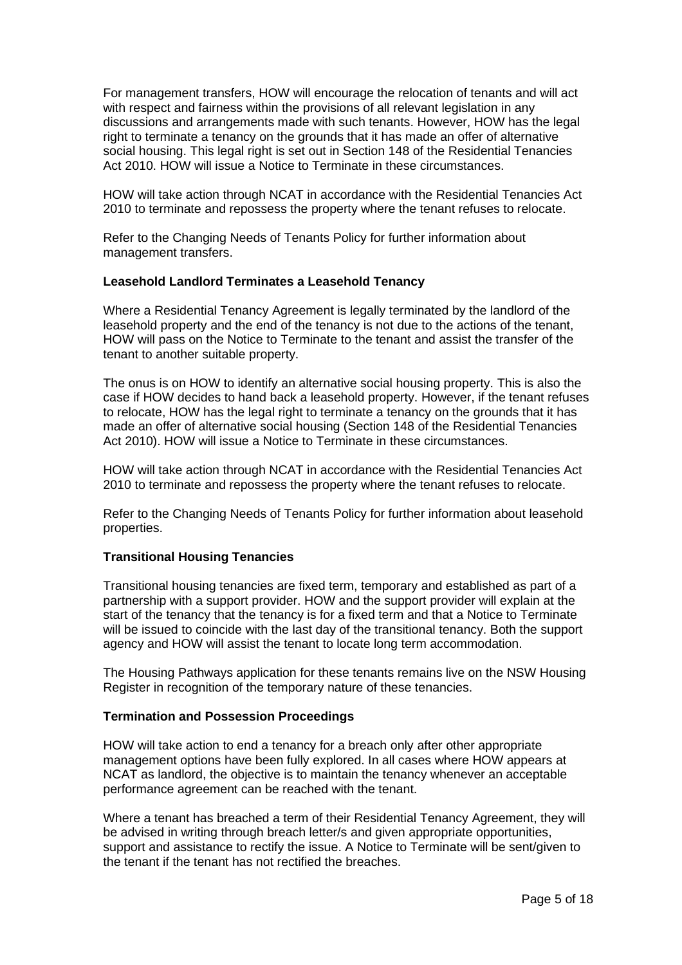For management transfers, HOW will encourage the relocation of tenants and will act with respect and fairness within the provisions of all relevant legislation in any discussions and arrangements made with such tenants. However, HOW has the legal right to terminate a tenancy on the grounds that it has made an offer of alternative social housing. This legal right is set out in Section 148 of the Residential Tenancies Act 2010. HOW will issue a Notice to Terminate in these circumstances.

HOW will take action through NCAT in accordance with the Residential Tenancies Act 2010 to terminate and repossess the property where the tenant refuses to relocate.

Refer to the Changing Needs of Tenants Policy for further information about management transfers.

## **Leasehold Landlord Terminates a Leasehold Tenancy**

Where a Residential Tenancy Agreement is legally terminated by the landlord of the leasehold property and the end of the tenancy is not due to the actions of the tenant, HOW will pass on the Notice to Terminate to the tenant and assist the transfer of the tenant to another suitable property.

The onus is on HOW to identify an alternative social housing property. This is also the case if HOW decides to hand back a leasehold property. However, if the tenant refuses to relocate, HOW has the legal right to terminate a tenancy on the grounds that it has made an offer of alternative social housing (Section 148 of the Residential Tenancies Act 2010). HOW will issue a Notice to Terminate in these circumstances.

HOW will take action through NCAT in accordance with the Residential Tenancies Act 2010 to terminate and repossess the property where the tenant refuses to relocate.

Refer to the Changing Needs of Tenants Policy for further information about leasehold properties.

## **Transitional Housing Tenancies**

Transitional housing tenancies are fixed term, temporary and established as part of a partnership with a support provider. HOW and the support provider will explain at the start of the tenancy that the tenancy is for a fixed term and that a Notice to Terminate will be issued to coincide with the last day of the transitional tenancy. Both the support agency and HOW will assist the tenant to locate long term accommodation.

The Housing Pathways application for these tenants remains live on the NSW Housing Register in recognition of the temporary nature of these tenancies.

## **Termination and Possession Proceedings**

HOW will take action to end a tenancy for a breach only after other appropriate management options have been fully explored. In all cases where HOW appears at NCAT as landlord, the objective is to maintain the tenancy whenever an acceptable performance agreement can be reached with the tenant.

Where a tenant has breached a term of their Residential Tenancy Agreement, they will be advised in writing through breach letter/s and given appropriate opportunities, support and assistance to rectify the issue. A Notice to Terminate will be sent/given to the tenant if the tenant has not rectified the breaches.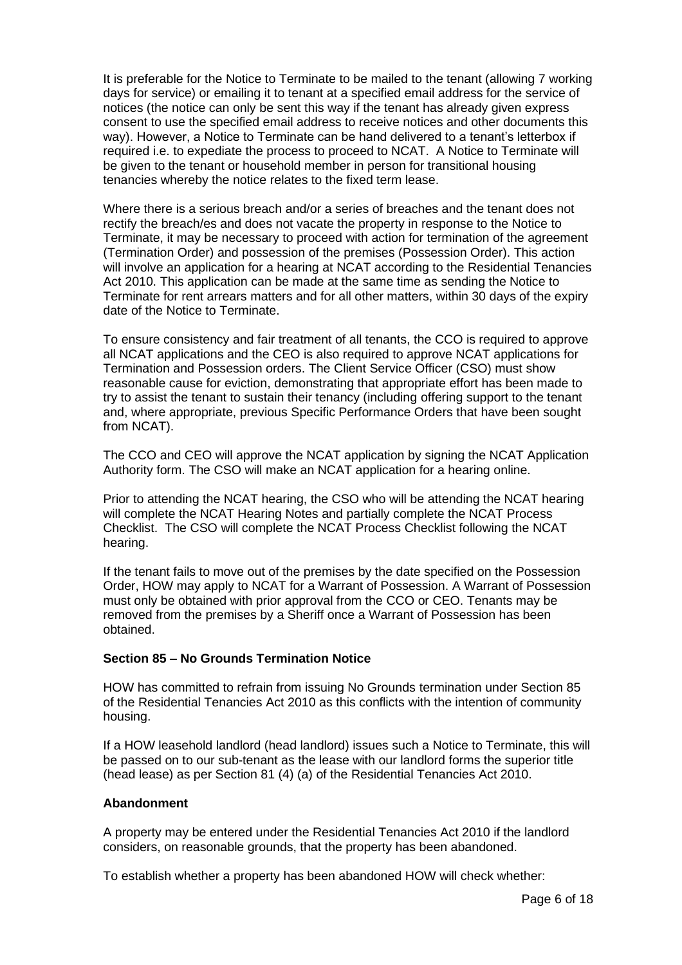It is preferable for the Notice to Terminate to be mailed to the tenant (allowing 7 working days for service) or emailing it to tenant at a specified email address for the service of notices (the notice can only be sent this way if the tenant has already given express consent to use the specified email address to receive notices and other documents this way). However, a Notice to Terminate can be hand delivered to a tenant's letterbox if required i.e. to expediate the process to proceed to NCAT. A Notice to Terminate will be given to the tenant or household member in person for transitional housing tenancies whereby the notice relates to the fixed term lease.

Where there is a serious breach and/or a series of breaches and the tenant does not rectify the breach/es and does not vacate the property in response to the Notice to Terminate, it may be necessary to proceed with action for termination of the agreement (Termination Order) and possession of the premises (Possession Order). This action will involve an application for a hearing at NCAT according to the Residential Tenancies Act 2010. This application can be made at the same time as sending the Notice to Terminate for rent arrears matters and for all other matters, within 30 days of the expiry date of the Notice to Terminate.

To ensure consistency and fair treatment of all tenants, the CCO is required to approve all NCAT applications and the CEO is also required to approve NCAT applications for Termination and Possession orders. The Client Service Officer (CSO) must show reasonable cause for eviction, demonstrating that appropriate effort has been made to try to assist the tenant to sustain their tenancy (including offering support to the tenant and, where appropriate, previous Specific Performance Orders that have been sought from NCAT).

The CCO and CEO will approve the NCAT application by signing the NCAT Application Authority form. The CSO will make an NCAT application for a hearing online.

Prior to attending the NCAT hearing, the CSO who will be attending the NCAT hearing will complete the NCAT Hearing Notes and partially complete the NCAT Process Checklist. The CSO will complete the NCAT Process Checklist following the NCAT hearing.

If the tenant fails to move out of the premises by the date specified on the Possession Order, HOW may apply to NCAT for a Warrant of Possession. A Warrant of Possession must only be obtained with prior approval from the CCO or CEO. Tenants may be removed from the premises by a Sheriff once a Warrant of Possession has been obtained.

## **Section 85 – No Grounds Termination Notice**

HOW has committed to refrain from issuing No Grounds termination under Section 85 of the Residential Tenancies Act 2010 as this conflicts with the intention of community housing.

If a HOW leasehold landlord (head landlord) issues such a Notice to Terminate, this will be passed on to our sub-tenant as the lease with our landlord forms the superior title (head lease) as per Section 81 (4) (a) of the Residential Tenancies Act 2010.

## **Abandonment**

A property may be entered under the Residential Tenancies Act 2010 if the landlord considers, on reasonable grounds, that the property has been abandoned.

To establish whether a property has been abandoned HOW will check whether: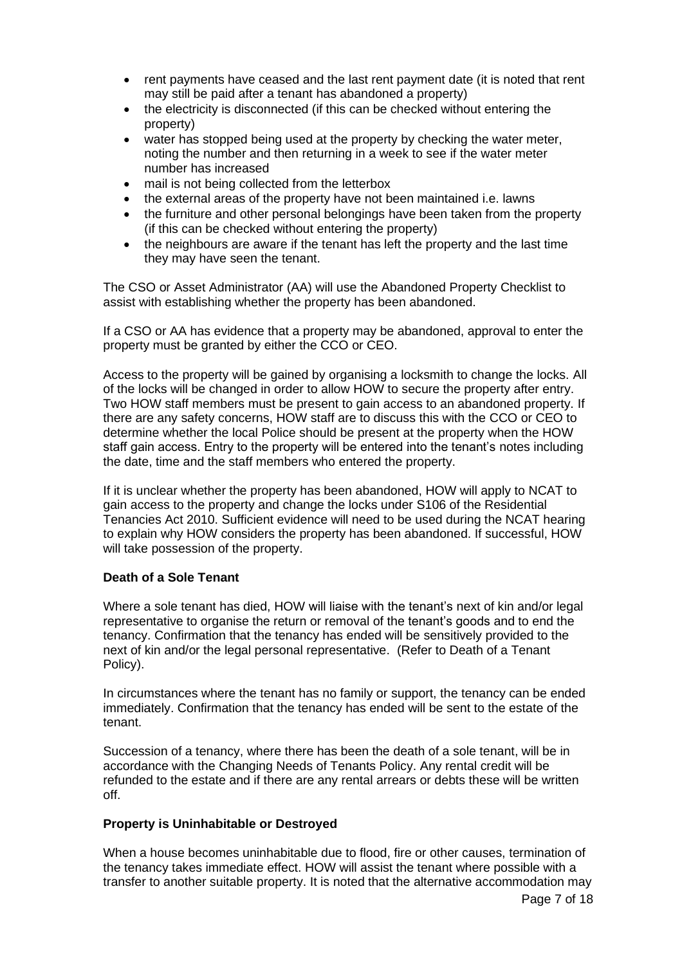- rent payments have ceased and the last rent payment date (it is noted that rent may still be paid after a tenant has abandoned a property)
- the electricity is disconnected (if this can be checked without entering the property)
- water has stopped being used at the property by checking the water meter, noting the number and then returning in a week to see if the water meter number has increased
- mail is not being collected from the letterbox
- the external areas of the property have not been maintained i.e. lawns
- the furniture and other personal belongings have been taken from the property (if this can be checked without entering the property)
- the neighbours are aware if the tenant has left the property and the last time they may have seen the tenant.

The CSO or Asset Administrator (AA) will use the Abandoned Property Checklist to assist with establishing whether the property has been abandoned.

If a CSO or AA has evidence that a property may be abandoned, approval to enter the property must be granted by either the CCO or CEO.

Access to the property will be gained by organising a locksmith to change the locks. All of the locks will be changed in order to allow HOW to secure the property after entry. Two HOW staff members must be present to gain access to an abandoned property. If there are any safety concerns, HOW staff are to discuss this with the CCO or CEO to determine whether the local Police should be present at the property when the HOW staff gain access. Entry to the property will be entered into the tenant's notes including the date, time and the staff members who entered the property.

If it is unclear whether the property has been abandoned, HOW will apply to NCAT to gain access to the property and change the locks under S106 of the Residential Tenancies Act 2010. Sufficient evidence will need to be used during the NCAT hearing to explain why HOW considers the property has been abandoned. If successful, HOW will take possession of the property.

## **Death of a Sole Tenant**

Where a sole tenant has died, HOW will liaise with the tenant's next of kin and/or legal representative to organise the return or removal of the tenant's goods and to end the tenancy. Confirmation that the tenancy has ended will be sensitively provided to the next of kin and/or the legal personal representative. (Refer to Death of a Tenant Policy).

In circumstances where the tenant has no family or support, the tenancy can be ended immediately. Confirmation that the tenancy has ended will be sent to the estate of the tenant.

Succession of a tenancy, where there has been the death of a sole tenant, will be in accordance with the Changing Needs of Tenants Policy. Any rental credit will be refunded to the estate and if there are any rental arrears or debts these will be written off.

#### **Property is Uninhabitable or Destroyed**

When a house becomes uninhabitable due to flood, fire or other causes, termination of the tenancy takes immediate effect. HOW will assist the tenant where possible with a transfer to another suitable property. It is noted that the alternative accommodation may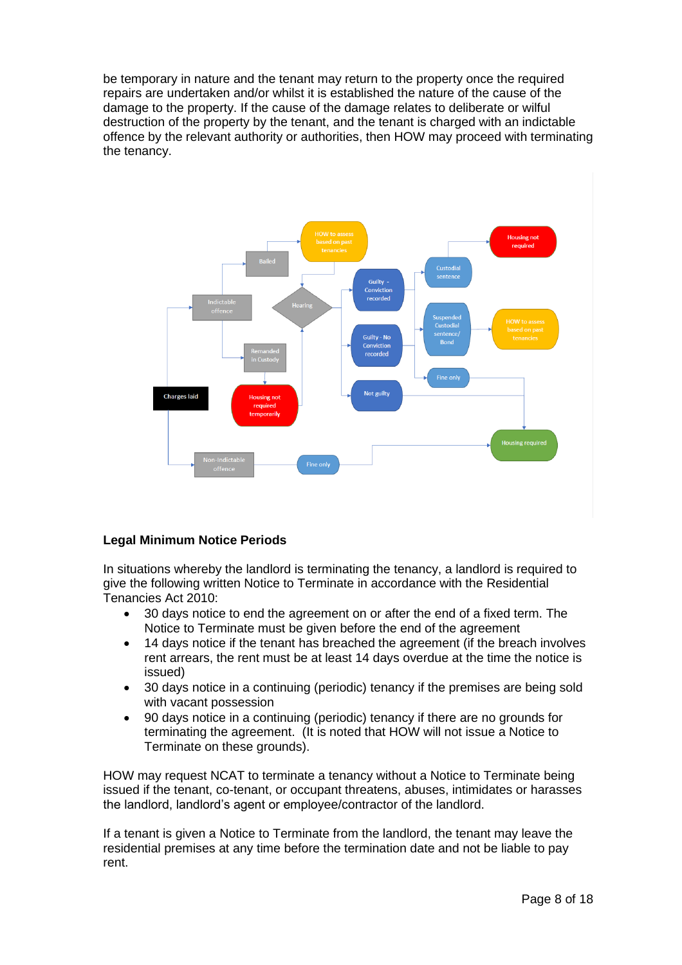be temporary in nature and the tenant may return to the property once the required repairs are undertaken and/or whilst it is established the nature of the cause of the damage to the property. If the cause of the damage relates to deliberate or wilful destruction of the property by the tenant, and the tenant is charged with an indictable offence by the relevant authority or authorities, then HOW may proceed with terminating the tenancy.



## **Legal Minimum Notice Periods**

In situations whereby the landlord is terminating the tenancy, a landlord is required to give the following written Notice to Terminate in accordance with the Residential Tenancies Act 2010:

- 30 days notice to end the agreement on or after the end of a fixed term. The Notice to Terminate must be given before the end of the agreement
- 14 days notice if the tenant has breached the agreement (if the breach involves rent arrears, the rent must be at least 14 days overdue at the time the notice is issued)
- 30 days notice in a continuing (periodic) tenancy if the premises are being sold with vacant possession
- 90 days notice in a continuing (periodic) tenancy if there are no grounds for terminating the agreement. (It is noted that HOW will not issue a Notice to Terminate on these grounds).

HOW may request NCAT to terminate a tenancy without a Notice to Terminate being issued if the tenant, co-tenant, or occupant threatens, abuses, intimidates or harasses the landlord, landlord's agent or employee/contractor of the landlord.

If a tenant is given a Notice to Terminate from the landlord, the tenant may leave the residential premises at any time before the termination date and not be liable to pay rent.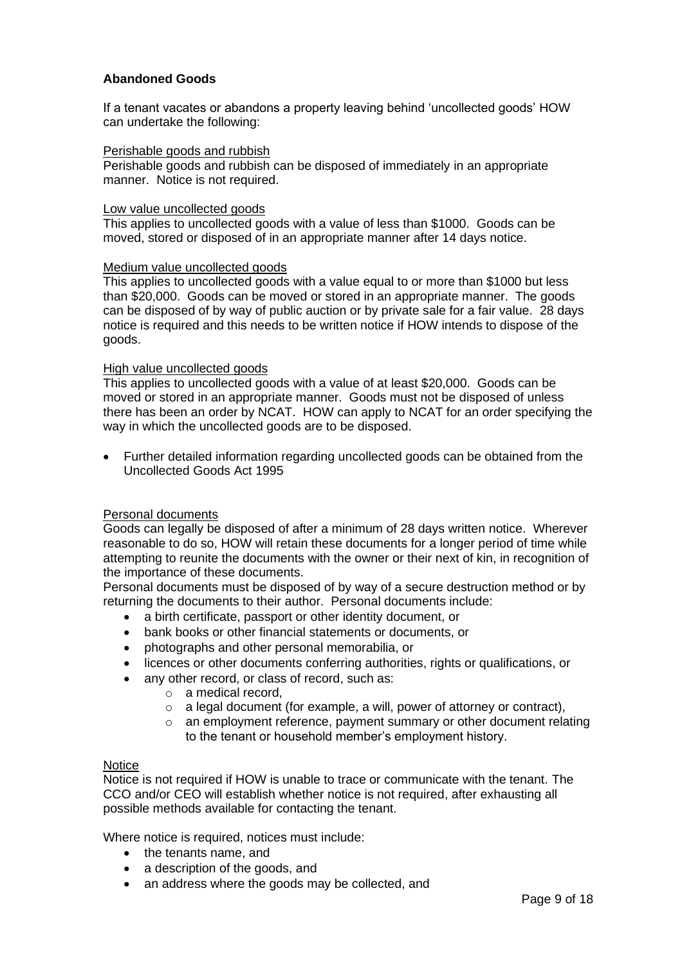## **Abandoned Goods**

If a tenant vacates or abandons a property leaving behind 'uncollected goods' HOW can undertake the following:

#### Perishable goods and rubbish

Perishable goods and rubbish can be disposed of immediately in an appropriate manner. Notice is not required.

#### Low value uncollected goods

This applies to uncollected goods with a value of less than \$1000. Goods can be moved, stored or disposed of in an appropriate manner after 14 days notice.

#### Medium value uncollected goods

This applies to uncollected goods with a value equal to or more than \$1000 but less than \$20,000. Goods can be moved or stored in an appropriate manner. The goods can be disposed of by way of public auction or by private sale for a fair value. 28 days notice is required and this needs to be written notice if HOW intends to dispose of the goods.

#### High value uncollected goods

This applies to uncollected goods with a value of at least \$20,000. Goods can be moved or stored in an appropriate manner. Goods must not be disposed of unless there has been an order by NCAT. HOW can apply to NCAT for an order specifying the way in which the uncollected goods are to be disposed.

• Further detailed information regarding uncollected goods can be obtained from the Uncollected Goods Act 1995

#### Personal documents

Goods can legally be disposed of after a minimum of 28 days written notice. Wherever reasonable to do so, HOW will retain these documents for a longer period of time while attempting to reunite the documents with the owner or their next of kin, in recognition of the importance of these documents.

Personal documents must be disposed of by way of a secure destruction method or by returning the documents to their author. Personal documents include:

- a birth certificate, passport or other identity document, or
- bank books or other financial statements or documents, or
- photographs and other personal memorabilia, or
- licences or other documents conferring authorities, rights or qualifications, or
- any other record, or class of record, such as:
	- o a medical record,
	- o a legal document (for example, a will, power of attorney or contract),
	- o an employment reference, payment summary or other document relating to the tenant or household member's employment history.

#### **Notice**

Notice is not required if HOW is unable to trace or communicate with the tenant. The CCO and/or CEO will establish whether notice is not required, after exhausting all possible methods available for contacting the tenant.

Where notice is required, notices must include:

- the tenants name, and
- a description of the goods, and
- an address where the goods may be collected, and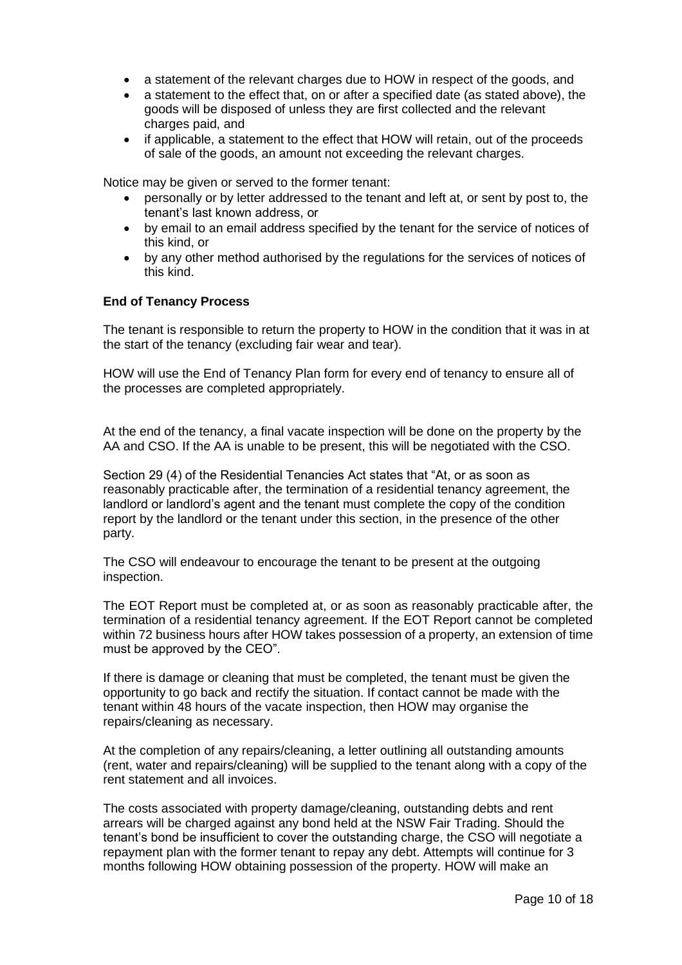- a statement of the relevant charges due to HOW in respect of the goods, and
- a statement to the effect that, on or after a specified date (as stated above), the goods will be disposed of unless they are first collected and the relevant charges paid, and
- if applicable, a statement to the effect that HOW will retain, out of the proceeds of sale of the goods, an amount not exceeding the relevant charges.

Notice may be given or served to the former tenant:

- personally or by letter addressed to the tenant and left at, or sent by post to, the tenant's last known address, or
- by email to an email address specified by the tenant for the service of notices of this kind, or
- by any other method authorised by the regulations for the services of notices of this kind.

## **End of Tenancy Process**

The tenant is responsible to return the property to HOW in the condition that it was in at the start of the tenancy (excluding fair wear and tear).

HOW will use the End of Tenancy Plan form for every end of tenancy to ensure all of the processes are completed appropriately.

At the end of the tenancy, a final vacate inspection will be done on the property by the AA and CSO. If the AA is unable to be present, this will be negotiated with the CSO.

Section 29 (4) of the Residential Tenancies Act states that "At, or as soon as reasonably practicable after, the termination of a residential tenancy agreement, the landlord or landlord's agent and the tenant must complete the copy of the condition report by the landlord or the tenant under this section, in the presence of the other party.

The CSO will endeavour to encourage the tenant to be present at the outgoing inspection.

The EOT Report must be completed at, or as soon as reasonably practicable after, the termination of a residential tenancy agreement. If the EOT Report cannot be completed within 72 business hours after HOW takes possession of a property, an extension of time must be approved by the CEO".

If there is damage or cleaning that must be completed, the tenant must be given the opportunity to go back and rectify the situation. If contact cannot be made with the tenant within 48 hours of the vacate inspection, then HOW may organise the repairs/cleaning as necessary.

At the completion of any repairs/cleaning, a letter outlining all outstanding amounts (rent, water and repairs/cleaning) will be supplied to the tenant along with a copy of the rent statement and all invoices.

The costs associated with property damage/cleaning, outstanding debts and rent arrears will be charged against any bond held at the NSW Fair Trading. Should the tenant's bond be insufficient to cover the outstanding charge, the CSO will negotiate a repayment plan with the former tenant to repay any debt. Attempts will continue for 3 months following HOW obtaining possession of the property. HOW will make an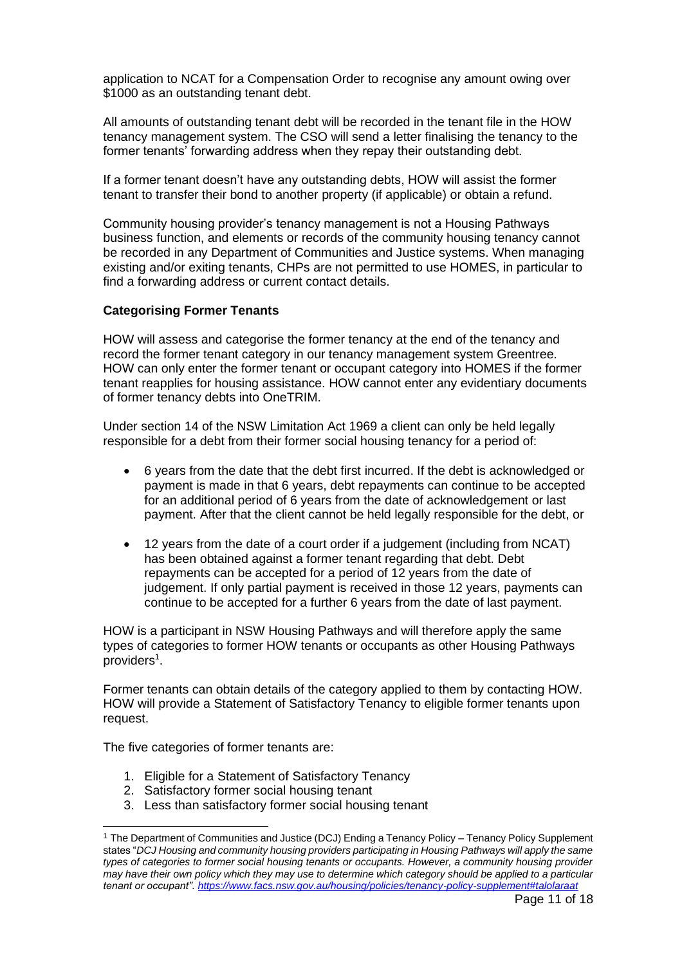application to NCAT for a Compensation Order to recognise any amount owing over \$1000 as an outstanding tenant debt.

All amounts of outstanding tenant debt will be recorded in the tenant file in the HOW tenancy management system. The CSO will send a letter finalising the tenancy to the former tenants' forwarding address when they repay their outstanding debt.

If a former tenant doesn't have any outstanding debts, HOW will assist the former tenant to transfer their bond to another property (if applicable) or obtain a refund.

Community housing provider's tenancy management is not a Housing Pathways business function, and elements or records of the community housing tenancy cannot be recorded in any Department of Communities and Justice systems. When managing existing and/or exiting tenants, CHPs are not permitted to use HOMES, in particular to find a forwarding address or current contact details.

## **Categorising Former Tenants**

HOW will assess and categorise the former tenancy at the end of the tenancy and record the former tenant category in our tenancy management system Greentree. HOW can only enter the former tenant or occupant category into HOMES if the former tenant reapplies for housing assistance. HOW cannot enter any evidentiary documents of former tenancy debts into OneTRIM.

Under section 14 of the NSW Limitation Act 1969 a client can only be held legally responsible for a debt from their former social housing tenancy for a period of:

- 6 years from the date that the debt first incurred. If the debt is acknowledged or payment is made in that 6 years, debt repayments can continue to be accepted for an additional period of 6 years from the date of acknowledgement or last payment. After that the client cannot be held legally responsible for the debt, or
- 12 years from the date of a court order if a judgement (including from NCAT) has been obtained against a former tenant regarding that debt. Debt repayments can be accepted for a period of 12 years from the date of judgement. If only partial payment is received in those 12 years, payments can continue to be accepted for a further 6 years from the date of last payment.

HOW is a participant in NSW Housing Pathways and will therefore apply the same types of categories to former HOW tenants or occupants as other Housing Pathways providers $^1$ .

Former tenants can obtain details of the category applied to them by contacting HOW. HOW will provide a Statement of Satisfactory Tenancy to eligible former tenants upon request.

The five categories of former tenants are:

- 1. Eligible for a Statement of Satisfactory Tenancy
- 2. Satisfactory former social housing tenant
- 3. Less than satisfactory former social housing tenant

<sup>1</sup> The Department of Communities and Justice (DCJ) Ending a Tenancy Policy – Tenancy Policy Supplement states "*DCJ Housing and community housing providers participating in Housing Pathways will apply the same types of categories to former social housing tenants or occupants. However, a community housing provider may have their own policy which they may use to determine which category should be applied to a particular tenant or occupant"[. https://www.facs.nsw.gov.au/housing/policies/tenancy-policy-supplement#talolaraat](https://www.facs.nsw.gov.au/housing/policies/tenancy-policy-supplement#talolaraat)*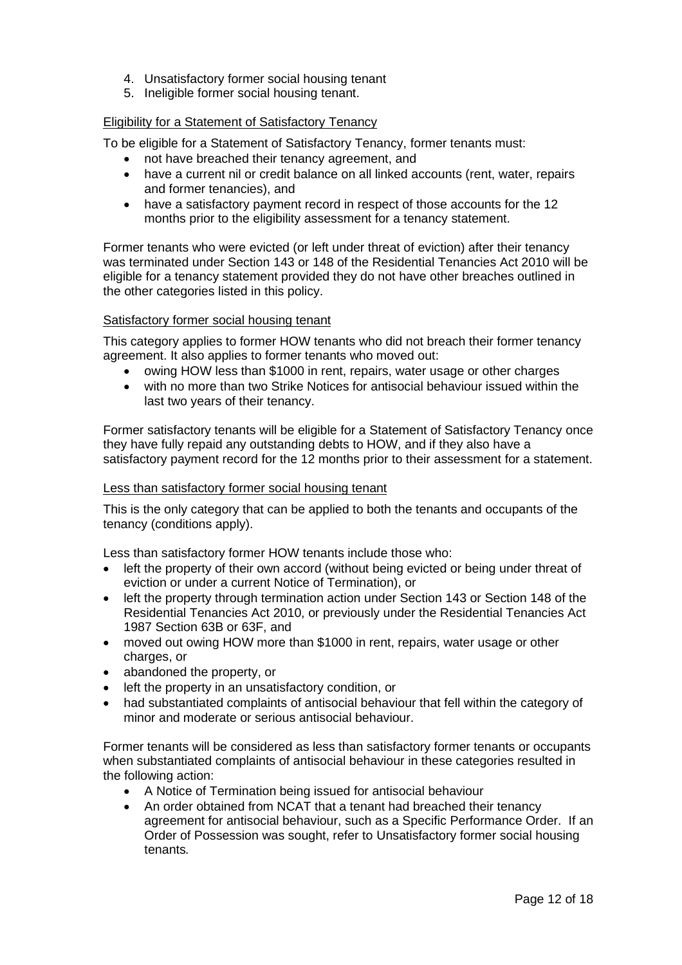- 4. Unsatisfactory former social housing tenant
- 5. Ineligible former social housing tenant.

## Eligibility for a Statement of Satisfactory Tenancy

To be eligible for a Statement of Satisfactory Tenancy, former tenants must:

- not have breached their tenancy agreement, and
- have a current nil or credit balance on all linked accounts (rent, water, repairs and former tenancies), and
- have a satisfactory payment record in respect of those accounts for the 12 months prior to the eligibility assessment for a tenancy statement.

Former tenants who were evicted (or left under threat of eviction) after their tenancy was terminated under Section 143 or 148 of the Residential Tenancies Act 2010 will be eligible for a tenancy statement provided they do not have other breaches outlined in the other categories listed in this policy.

## Satisfactory former social housing tenant

This category applies to former HOW tenants who did not breach their former tenancy agreement. It also applies to former tenants who moved out:

- owing HOW less than \$1000 in rent, repairs, water usage or other charges
- with no more than two Strike Notices for antisocial behaviour issued within the last two years of their tenancy.

Former satisfactory tenants will be eligible for a Statement of Satisfactory Tenancy once they have fully repaid any outstanding debts to HOW, and if they also have a satisfactory payment record for the 12 months prior to their assessment for a statement.

## Less than satisfactory former social housing tenant

This is the only category that can be applied to both the tenants and occupants of the tenancy (conditions apply).

Less than satisfactory former HOW tenants include those who:

- left the property of their own accord (without being evicted or being under threat of eviction or under a current Notice of Termination), or
- left the property through termination action under Section 143 or Section 148 of the Residential Tenancies Act 2010, or previously under the Residential Tenancies Act 1987 Section 63B or 63F, and
- moved out owing HOW more than \$1000 in rent, repairs, water usage or other charges, or
- abandoned the property, or
- left the property in an unsatisfactory condition, or
- had substantiated complaints of antisocial behaviour that fell within the category of minor and moderate or serious antisocial behaviour.

Former tenants will be considered as less than satisfactory former tenants or occupants when substantiated complaints of antisocial behaviour in these categories resulted in the following action:

- A Notice of Termination being issued for antisocial behaviour
- An order obtained from NCAT that a tenant had breached their tenancy agreement for antisocial behaviour, such as a Specific Performance Order. If an Order of Possession was sought, refer to Unsatisfactory former social housing tenants*.*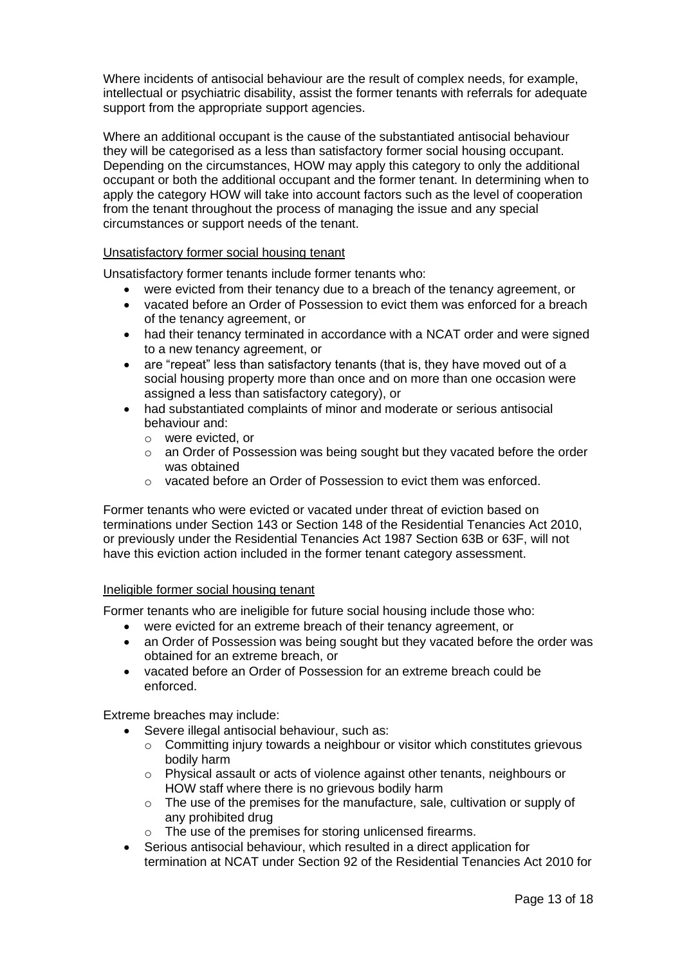Where incidents of antisocial behaviour are the result of complex needs, for example, intellectual or psychiatric disability, assist the former tenants with referrals for adequate support from the appropriate support agencies.

Where an additional occupant is the cause of the substantiated antisocial behaviour they will be categorised as a less than satisfactory former social housing occupant. Depending on the circumstances, HOW may apply this category to only the additional occupant or both the additional occupant and the former tenant. In determining when to apply the category HOW will take into account factors such as the level of cooperation from the tenant throughout the process of managing the issue and any special circumstances or support needs of the tenant.

## Unsatisfactory former social housing tenant

Unsatisfactory former tenants include former tenants who:

- were evicted from their tenancy due to a breach of the tenancy agreement, or
- vacated before an Order of Possession to evict them was enforced for a breach of the tenancy agreement, or
- had their tenancy terminated in accordance with a NCAT order and were signed to a new tenancy agreement, or
- are "repeat" less than satisfactory tenants (that is, they have moved out of a social housing property more than once and on more than one occasion were assigned a less than satisfactory category), or
- had substantiated complaints of minor and moderate or serious antisocial behaviour and:
	- o were evicted, or
	- $\circ$  an Order of Possession was being sought but they vacated before the order was obtained
	- o vacated before an Order of Possession to evict them was enforced.

Former tenants who were evicted or vacated under threat of eviction based on terminations under Section 143 or Section 148 of the Residential Tenancies Act 2010, or previously under the Residential Tenancies Act 1987 Section 63B or 63F, will not have this eviction action included in the former tenant category assessment.

#### Ineligible former social housing tenant

Former tenants who are ineligible for future social housing include those who:

- were evicted for an extreme breach of their tenancy agreement, or
- an Order of Possession was being sought but they vacated before the order was obtained for an extreme breach, or
- vacated before an Order of Possession for an extreme breach could be enforced.

Extreme breaches may include:

- Severe illegal antisocial behaviour, such as:
	- o Committing injury towards a neighbour or visitor which constitutes grievous bodily harm
	- o Physical assault or acts of violence against other tenants, neighbours or HOW staff where there is no grievous bodily harm
	- o The use of the premises for the manufacture, sale, cultivation or supply of any prohibited drug
	- o The use of the premises for storing unlicensed firearms.
- Serious antisocial behaviour, which resulted in a direct application for termination at NCAT under Section 92 of the Residential Tenancies Act 2010 for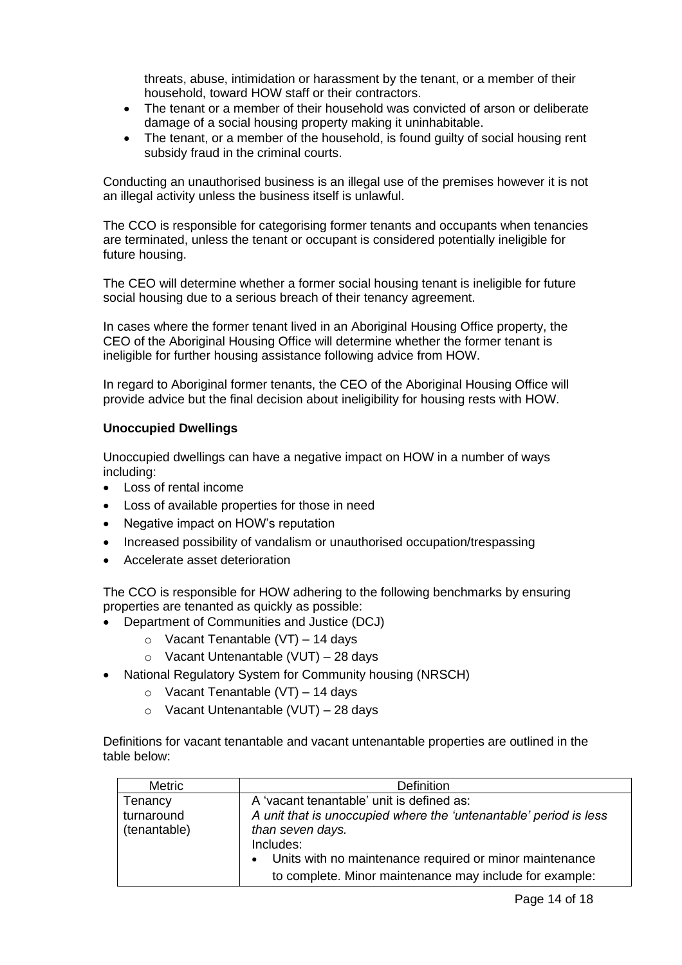threats, abuse, intimidation or harassment by the tenant, or a member of their household, toward HOW staff or their contractors.

- The tenant or a member of their household was convicted of arson or deliberate damage of a social housing property making it uninhabitable.
- The tenant, or a member of the household, is found quilty of social housing rent subsidy fraud in the criminal courts.

Conducting an unauthorised business is an illegal use of the premises however it is not an illegal activity unless the business itself is unlawful.

The CCO is responsible for categorising former tenants and occupants when tenancies are terminated, unless the tenant or occupant is considered potentially ineligible for future housing.

The CEO will determine whether a former social housing tenant is ineligible for future social housing due to a serious breach of their tenancy agreement.

In cases where the former tenant lived in an Aboriginal Housing Office property, the CEO of the Aboriginal Housing Office will determine whether the former tenant is ineligible for further housing assistance following advice from HOW.

In regard to Aboriginal former tenants, the CEO of the Aboriginal Housing Office will provide advice but the final decision about ineligibility for housing rests with HOW.

## **Unoccupied Dwellings**

Unoccupied dwellings can have a negative impact on HOW in a number of ways including:

- Loss of rental income
- Loss of available properties for those in need
- Negative impact on HOW's reputation
- Increased possibility of vandalism or unauthorised occupation/trespassing
- Accelerate asset deterioration

The CCO is responsible for HOW adhering to the following benchmarks by ensuring properties are tenanted as quickly as possible:

- Department of Communities and Justice (DCJ)
	- $\circ$  Vacant Tenantable (VT) 14 days
	- o Vacant Untenantable (VUT) 28 days
- National Regulatory System for Community housing (NRSCH)
	- $\circ$  Vacant Tenantable (VT) 14 days
	- $\circ$  Vacant Untenantable (VUT) 28 days

Definitions for vacant tenantable and vacant untenantable properties are outlined in the table below:

| <b>Metric</b> | Definition                                                        |
|---------------|-------------------------------------------------------------------|
| Tenancy       | A 'vacant tenantable' unit is defined as:                         |
| turnaround    | A unit that is unoccupied where the 'untenantable' period is less |
| (tenantable)  | than seven days.                                                  |
|               | Includes:                                                         |
|               | Units with no maintenance required or minor maintenance           |
|               | to complete. Minor maintenance may include for example:           |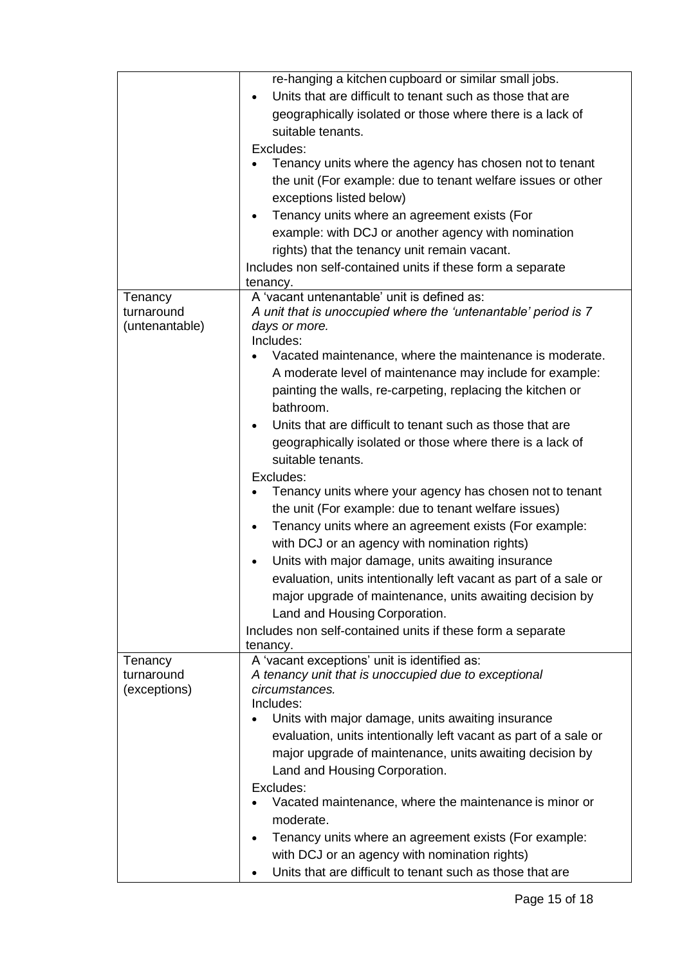|                                         | re-hanging a kitchen cupboard or similar small jobs.<br>Units that are difficult to tenant such as those that are<br>geographically isolated or those where there is a lack of<br>suitable tenants.<br>Excludes:<br>Tenancy units where the agency has chosen not to tenant<br>the unit (For example: due to tenant welfare issues or other<br>exceptions listed below)<br>Tenancy units where an agreement exists (For<br>example: with DCJ or another agency with nomination<br>rights) that the tenancy unit remain vacant. |
|-----------------------------------------|--------------------------------------------------------------------------------------------------------------------------------------------------------------------------------------------------------------------------------------------------------------------------------------------------------------------------------------------------------------------------------------------------------------------------------------------------------------------------------------------------------------------------------|
|                                         | Includes non self-contained units if these form a separate                                                                                                                                                                                                                                                                                                                                                                                                                                                                     |
|                                         | tenancy.<br>A 'vacant untenantable' unit is defined as:                                                                                                                                                                                                                                                                                                                                                                                                                                                                        |
| Tenancy<br>turnaround<br>(untenantable) | A unit that is unoccupied where the 'untenantable' period is 7<br>days or more.<br>Includes:<br>Vacated maintenance, where the maintenance is moderate.<br>A moderate level of maintenance may include for example:                                                                                                                                                                                                                                                                                                            |
|                                         | painting the walls, re-carpeting, replacing the kitchen or<br>bathroom.                                                                                                                                                                                                                                                                                                                                                                                                                                                        |
|                                         | Units that are difficult to tenant such as those that are<br>geographically isolated or those where there is a lack of<br>suitable tenants.<br>Excludes:                                                                                                                                                                                                                                                                                                                                                                       |
|                                         | Tenancy units where your agency has chosen not to tenant<br>the unit (For example: due to tenant welfare issues)                                                                                                                                                                                                                                                                                                                                                                                                               |
|                                         | Tenancy units where an agreement exists (For example:<br>$\bullet$                                                                                                                                                                                                                                                                                                                                                                                                                                                             |
|                                         | with DCJ or an agency with nomination rights)                                                                                                                                                                                                                                                                                                                                                                                                                                                                                  |
|                                         | Units with major damage, units awaiting insurance                                                                                                                                                                                                                                                                                                                                                                                                                                                                              |
|                                         | evaluation, units intentionally left vacant as part of a sale or<br>major upgrade of maintenance, units awaiting decision by<br>Land and Housing Corporation.                                                                                                                                                                                                                                                                                                                                                                  |
|                                         | Includes non self-contained units if these form a separate                                                                                                                                                                                                                                                                                                                                                                                                                                                                     |
|                                         | tenancy.                                                                                                                                                                                                                                                                                                                                                                                                                                                                                                                       |
| Tenancy<br>turnaround<br>(exceptions)   | A 'vacant exceptions' unit is identified as:<br>A tenancy unit that is unoccupied due to exceptional<br>circumstances.<br>Includes:                                                                                                                                                                                                                                                                                                                                                                                            |
|                                         | Units with major damage, units awaiting insurance<br>evaluation, units intentionally left vacant as part of a sale or<br>major upgrade of maintenance, units awaiting decision by<br>Land and Housing Corporation.<br>Excludes:                                                                                                                                                                                                                                                                                                |
|                                         | Vacated maintenance, where the maintenance is minor or<br>moderate.                                                                                                                                                                                                                                                                                                                                                                                                                                                            |
|                                         | Tenancy units where an agreement exists (For example:<br>with DCJ or an agency with nomination rights)                                                                                                                                                                                                                                                                                                                                                                                                                         |
|                                         | Units that are difficult to tenant such as those that are                                                                                                                                                                                                                                                                                                                                                                                                                                                                      |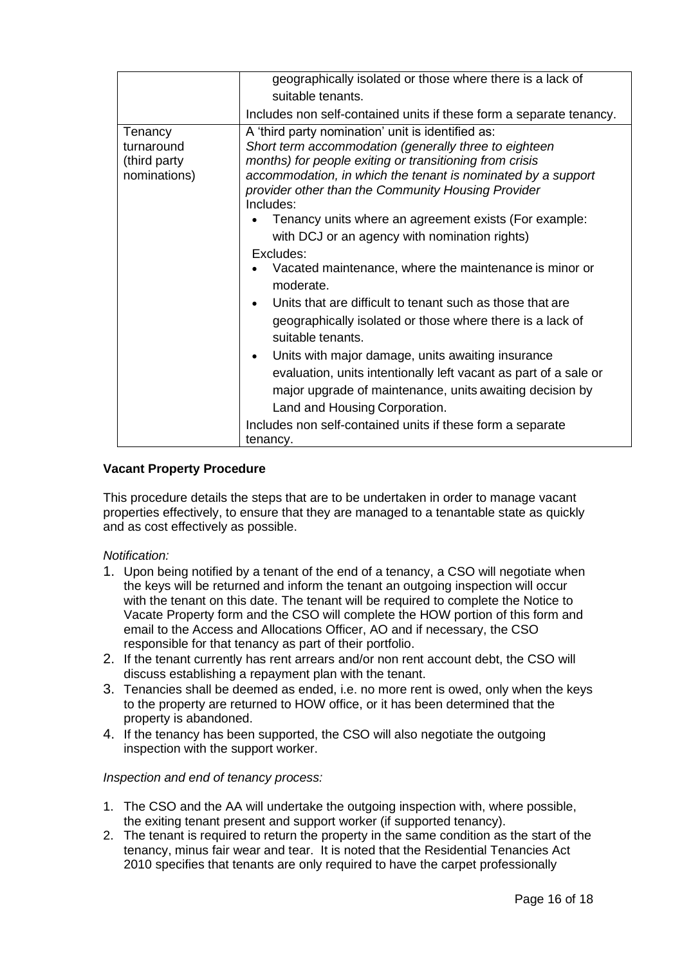|              | geographically isolated or those where there is a lack of                                                          |
|--------------|--------------------------------------------------------------------------------------------------------------------|
|              | suitable tenants.                                                                                                  |
|              |                                                                                                                    |
|              | Includes non self-contained units if these form a separate tenancy.                                                |
| Tenancy      | A 'third party nomination' unit is identified as:                                                                  |
| turnaround   | Short term accommodation (generally three to eighteen                                                              |
| (third party | months) for people exiting or transitioning from crisis                                                            |
| nominations) | accommodation, in which the tenant is nominated by a support<br>provider other than the Community Housing Provider |
|              | Includes:                                                                                                          |
|              | Tenancy units where an agreement exists (For example:                                                              |
|              | with DCJ or an agency with nomination rights)                                                                      |
|              | Excludes:                                                                                                          |
|              | Vacated maintenance, where the maintenance is minor or                                                             |
|              | moderate.                                                                                                          |
|              | Units that are difficult to tenant such as those that are                                                          |
|              | geographically isolated or those where there is a lack of<br>suitable tenants.                                     |
|              | Units with major damage, units awaiting insurance<br>$\bullet$                                                     |
|              | evaluation, units intentionally left vacant as part of a sale or                                                   |
|              | major upgrade of maintenance, units awaiting decision by                                                           |
|              | Land and Housing Corporation.                                                                                      |
|              |                                                                                                                    |
|              | Includes non self-contained units if these form a separate                                                         |
|              | tenancy.                                                                                                           |

## **Vacant Property Procedure**

This procedure details the steps that are to be undertaken in order to manage vacant properties effectively, to ensure that they are managed to a tenantable state as quickly and as cost effectively as possible.

## *Notification:*

- 1. Upon being notified by a tenant of the end of a tenancy, a CSO will negotiate when the keys will be returned and inform the tenant an outgoing inspection will occur with the tenant on this date. The tenant will be required to complete the Notice to Vacate Property form and the CSO will complete the HOW portion of this form and email to the Access and Allocations Officer, AO and if necessary, the CSO responsible for that tenancy as part of their portfolio.
- 2. If the tenant currently has rent arrears and/or non rent account debt, the CSO will discuss establishing a repayment plan with the tenant.
- 3. Tenancies shall be deemed as ended, i.e. no more rent is owed, only when the keys to the property are returned to HOW office, or it has been determined that the property is abandoned.
- 4. If the tenancy has been supported, the CSO will also negotiate the outgoing inspection with the support worker.

#### *Inspection and end of tenancy process:*

- 1. The CSO and the AA will undertake the outgoing inspection with, where possible, the exiting tenant present and support worker (if supported tenancy).
- 2. The tenant is required to return the property in the same condition as the start of the tenancy, minus fair wear and tear. It is noted that the Residential Tenancies Act 2010 specifies that tenants are only required to have the carpet professionally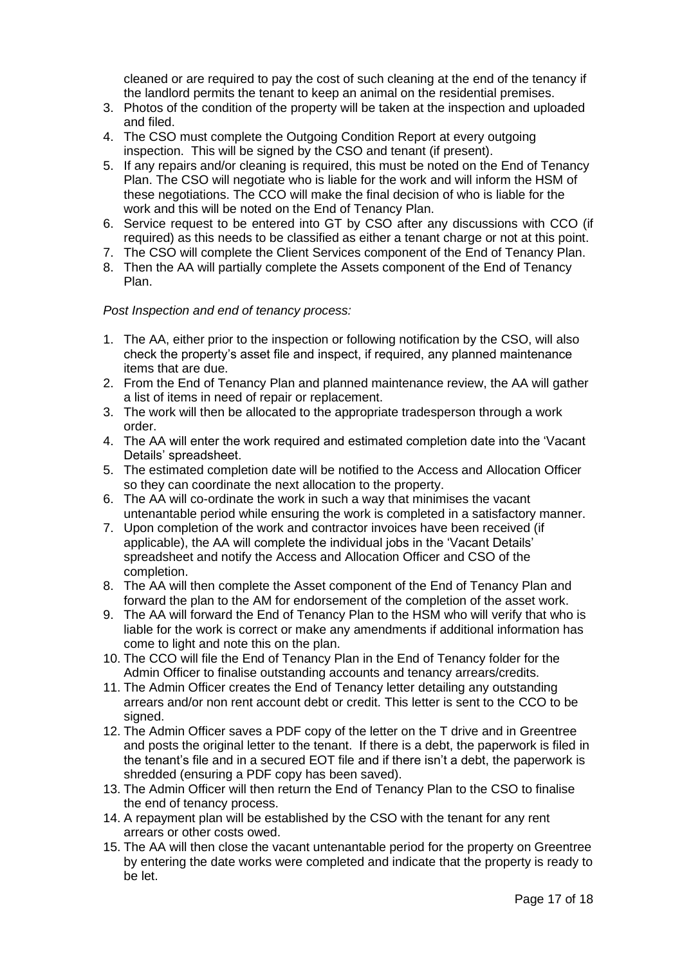cleaned or are required to pay the cost of such cleaning at the end of the tenancy if the landlord permits the tenant to keep an animal on the residential premises.

- 3. Photos of the condition of the property will be taken at the inspection and uploaded and filed.
- 4. The CSO must complete the Outgoing Condition Report at every outgoing inspection. This will be signed by the CSO and tenant (if present).
- 5. If any repairs and/or cleaning is required, this must be noted on the [End of Tenancy](https://homesoutwest.complispace.com.au/Assets/989/1/EndofTenancyPlanV5Sept2013.pdf) [Plan.](https://homesoutwest.complispace.com.au/Assets/989/1/EndofTenancyPlanV5Sept2013.pdf) The CSO will negotiate who is liable for the work and will inform the HSM of these negotiations. The CCO will make the final decision of who is liable for the work and this will be noted on the [End of Tenancy](https://homesoutwest.complispace.com.au/Assets/989/1/EndofTenancyPlanV5Sept2013.pdf) Plan.
- 6. Service request to be entered into GT by CSO after any discussions with CCO (if required) as this needs to be classified as either a tenant charge or not at this point.
- 7. The CSO will complete the Client Services component of the [End of Tenancy](https://homesoutwest.complispace.com.au/Assets/989/1/EndofTenancyPlanV5Sept2013.pdf) Plan.
- 8. Then the AA will partially complete the Assets component of the [End of Tenancy](https://homesoutwest.complispace.com.au/Assets/989/1/EndofTenancyPlanV5Sept2013.pdf) [Plan.](https://homesoutwest.complispace.com.au/Assets/989/1/EndofTenancyPlanV5Sept2013.pdf)

## *Post Inspection and end of tenancy process:*

- 1. The AA, either prior to the inspection or following notification by the CSO, will also check the property's asset file and inspect, if required, any planned maintenance items that are due.
- 2. From the End of Tenancy Plan and planned maintenance review, the AA will gather a list of items in need of repair or replacement.
- 3. The work will then be allocated to the appropriate tradesperson through a work order.
- 4. The AA will enter the work required and estimated completion date into the 'Vacant Details' spreadsheet.
- 5. The estimated completion date will be notified to the Access and Allocation Officer so they can coordinate the next allocation to the property.
- 6. The AA will co-ordinate the work in such a way that minimises the vacant untenantable period while ensuring the work is completed in a satisfactory manner.
- 7. Upon completion of the work and contractor invoices have been received (if applicable), the AA will complete the individual jobs in the 'Vacant Details' spreadsheet and notify the Access and Allocation Officer and CSO of the completion.
- 8. The AA will then complete the Asset component of the End of Tenancy Plan and forward the plan to the AM for endorsement of the completion of the asset work.
- 9. The AA will forward the End of Tenancy Plan to the HSM who will verify that who is liable for the work is correct or make any amendments if additional information has come to light and note this on the plan.
- 10. The CCO will file the End of Tenancy Plan in the End of Tenancy folder for the Admin Officer to finalise outstanding accounts and tenancy arrears/credits.
- 11. The Admin Officer creates the End of Tenancy letter detailing any outstanding arrears and/or non rent account debt or credit. This letter is sent to the CCO to be signed.
- 12. The Admin Officer saves a PDF copy of the letter on the T drive and in Greentree and posts the original letter to the tenant. If there is a debt, the paperwork is filed in the tenant's file and in a secured EOT file and if there isn't a debt, the paperwork is shredded (ensuring a PDF copy has been saved).
- 13. The Admin Officer will then return the End of Tenancy Plan to the CSO to finalise the end of tenancy process.
- 14. A repayment plan will be established by the CSO with the tenant for any rent arrears or other costs owed.
- 15. The AA will then close the vacant untenantable period for the property on Greentree by entering the date works were completed and indicate that the property is ready to be let.